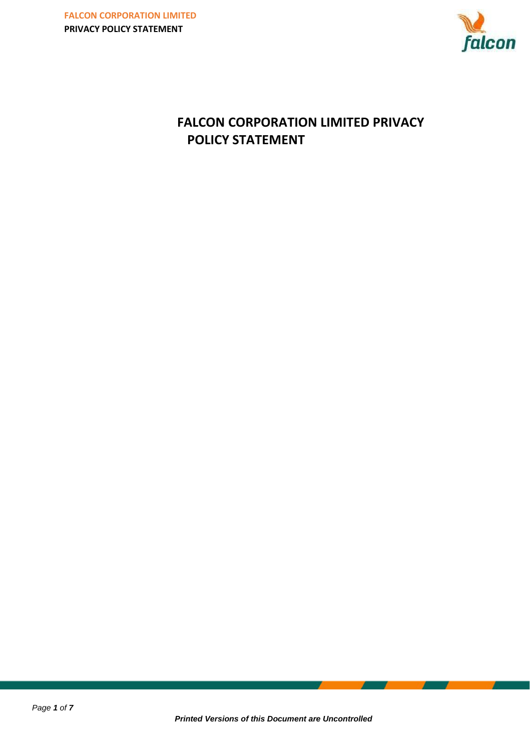

# **FALCON CORPORATION LIMITED PRIVACY POLICY STATEMENT**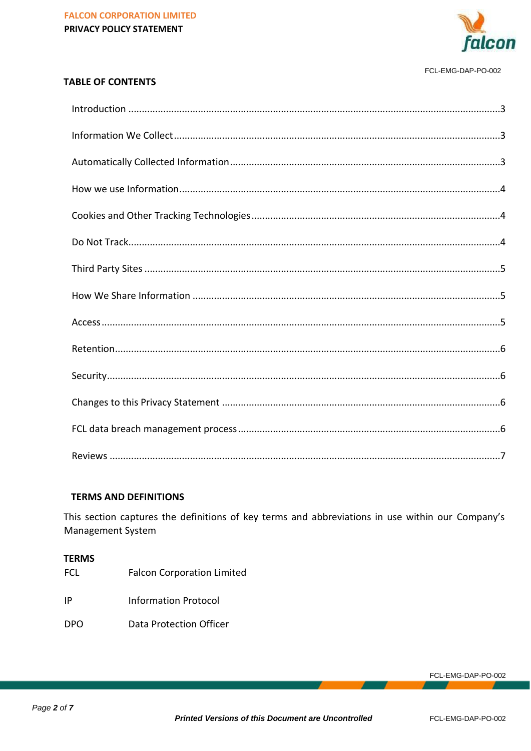

#### FCL-EMG-DAP-PO-002

#### **TABLE OF CONTENTS**

#### **TERMS AND DEFINITIONS**

This section captures the definitions of key terms and abbreviations in use within our Company's Management System

#### **TERMS**

- **FCL Falcon Corporation Limited**
- $|P|$ **Information Protocol**
- **DPO Data Protection Officer**

FCL-EMG-DAP-PO-002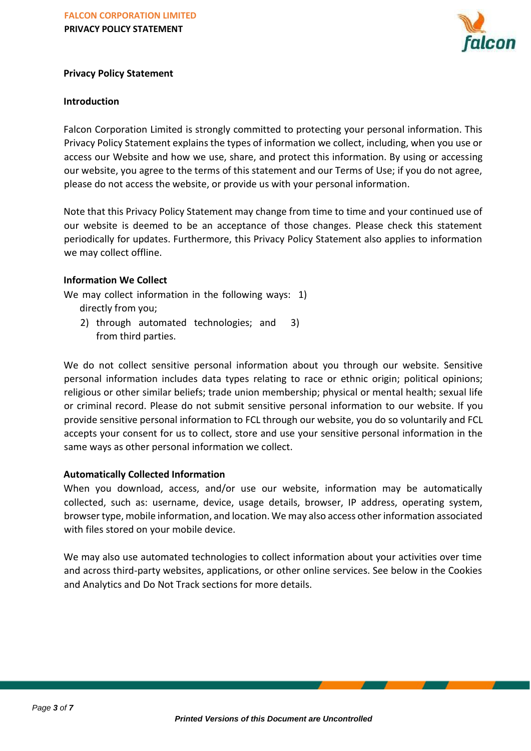

## **Privacy Policy Statement**

#### <span id="page-2-0"></span>**Introduction**

Falcon Corporation Limited is strongly committed to protecting your personal information. This Privacy Policy Statement explains the types of information we collect, including, when you use or access our Website and how we use, share, and protect this information. By using or accessing our website, you agree to the terms of this statement and our Terms of Use; if you do not agree, please do not access the website, or provide us with your personal information.

Note that this Privacy Policy Statement may change from time to time and your continued use of our website is deemed to be an acceptance of those changes. Please check this statement periodically for updates. Furthermore, this Privacy Policy Statement also applies to information we may collect offline.

### <span id="page-2-1"></span>**Information We Collect**

We may collect information in the following ways: 1) directly from you;

2) through automated technologies; and 3) from third parties.

We do not collect sensitive personal information about you through our website. Sensitive personal information includes data types relating to race or ethnic origin; political opinions; religious or other similar beliefs; trade union membership; physical or mental health; sexual life or criminal record. Please do not submit sensitive personal information to our website. If you provide sensitive personal information to FCL through our website, you do so voluntarily and FCL accepts your consent for us to collect, store and use your sensitive personal information in the same ways as other personal information we collect.

### <span id="page-2-2"></span>**Automatically Collected Information**

When you download, access, and/or use our website, information may be automatically collected, such as: username, device, usage details, browser, IP address, operating system, browser type, mobile information, and location. We may also access other information associated with files stored on your mobile device.

We may also use automated technologies to collect information about your activities over time and across third-party websites, applications, or other online services. See below in the Cookies and Analytics and Do Not Track sections for more details.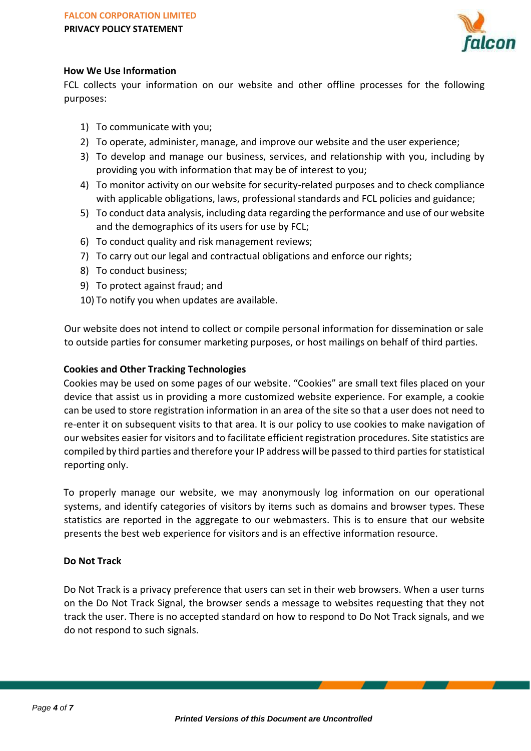

## <span id="page-3-0"></span>**How We Use Information**

FCL collects your information on our website and other offline processes for the following purposes:

- 1) To communicate with you;
- 2) To operate, administer, manage, and improve our website and the user experience;
- 3) To develop and manage our business, services, and relationship with you, including by providing you with information that may be of interest to you;
- 4) To monitor activity on our website for security-related purposes and to check compliance with applicable obligations, laws, professional standards and FCL policies and guidance;
- 5) To conduct data analysis, including data regarding the performance and use of our website and the demographics of its users for use by FCL;
- 6) To conduct quality and risk management reviews;
- 7) To carry out our legal and contractual obligations and enforce our rights;
- 8) To conduct business;
- 9) To protect against fraud; and
- 10) To notify you when updates are available.

Our website does not intend to collect or compile personal information for dissemination or sale to outside parties for consumer marketing purposes, or host mailings on behalf of third parties.

### <span id="page-3-1"></span>**Cookies and Other Tracking Technologies**

Cookies may be used on some pages of our website. "Cookies" are small text files placed on your device that assist us in providing a more customized website experience. For example, a cookie can be used to store registration information in an area of the site so that a user does not need to re-enter it on subsequent visits to that area. It is our policy to use cookies to make navigation of our websites easier for visitors and to facilitate efficient registration procedures. Site statistics are compiled by third parties and therefore your IP address will be passed to third parties for statistical reporting only.

To properly manage our website, we may anonymously log information on our operational systems, and identify categories of visitors by items such as domains and browser types. These statistics are reported in the aggregate to our webmasters. This is to ensure that our website presents the best web experience for visitors and is an effective information resource.

### <span id="page-3-2"></span>**Do Not Track**

Do Not Track is a privacy preference that users can set in their web browsers. When a user turns on the Do Not Track Signal, the browser sends a message to websites requesting that they not track the user. There is no accepted standard on how to respond to Do Not Track signals, and we do not respond to such signals.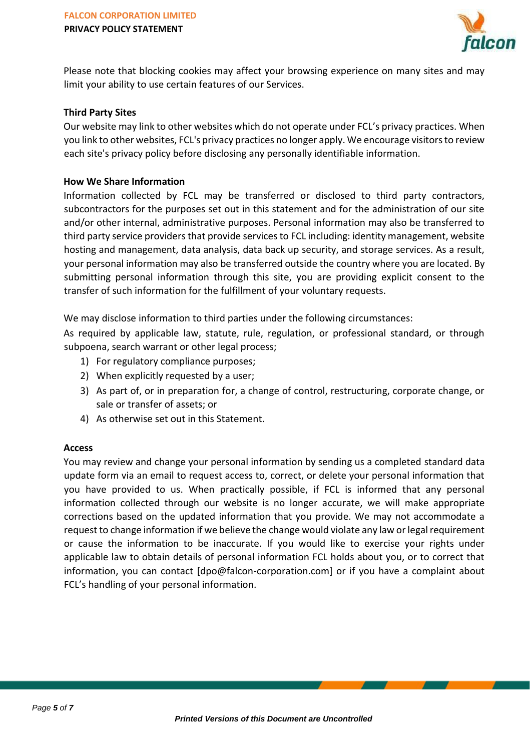

Please note that blocking cookies may affect your browsing experience on many sites and may limit your ability to use certain features of our Services.

#### <span id="page-4-0"></span>**Third Party Sites**

Our website may link to other websites which do not operate under FCL's privacy practices. When you link to other websites, FCL's privacy practices no longer apply. We encourage visitors to review each site's privacy policy before disclosing any personally identifiable information.

#### <span id="page-4-1"></span>**How We Share Information**

Information collected by FCL may be transferred or disclosed to third party contractors, subcontractors for the purposes set out in this statement and for the administration of our site and/or other internal, administrative purposes. Personal information may also be transferred to third party service providers that provide services to FCL including: identity management, website hosting and management, data analysis, data back up security, and storage services. As a result, your personal information may also be transferred outside the country where you are located. By submitting personal information through this site, you are providing explicit consent to the transfer of such information for the fulfillment of your voluntary requests.

We may disclose information to third parties under the following circumstances:

As required by applicable law, statute, rule, regulation, or professional standard, or through subpoena, search warrant or other legal process;

- 1) For regulatory compliance purposes;
- 2) When explicitly requested by a user;
- 3) As part of, or in preparation for, a change of control, restructuring, corporate change, or sale or transfer of assets; or
- 4) As otherwise set out in this Statement.

#### <span id="page-4-2"></span>**Access**

You may review and change your personal information by sending us a completed standard data update form via an email to request access to, correct, or delete your personal information that you have provided to us. When practically possible, if FCL is informed that any personal information collected through our website is no longer accurate, we will make appropriate corrections based on the updated information that you provide. We may not accommodate a request to change information if we believe the change would violate any law or legal requirement or cause the information to be inaccurate. If you would like to exercise your rights under applicable law to obtain details of personal information FCL holds about you, or to correct that information, you can contact [dpo@falcon-corporation.com] or if you have a complaint about FCL's handling of your personal information.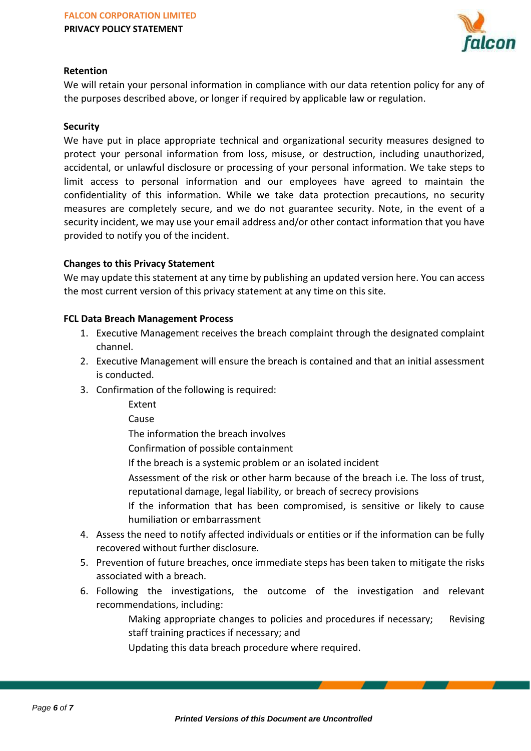

## <span id="page-5-0"></span>**Retention**

We will retain your personal information in compliance with our data retention policy for any of the purposes described above, or longer if required by applicable law or regulation.

#### <span id="page-5-1"></span>**Security**

We have put in place appropriate technical and organizational security measures designed to protect your personal information from loss, misuse, or destruction, including unauthorized, accidental, or unlawful disclosure or processing of your personal information. We take steps to limit access to personal information and our employees have agreed to maintain the confidentiality of this information. While we take data protection precautions, no security measures are completely secure, and we do not guarantee security. Note, in the event of a security incident, we may use your email address and/or other contact information that you have provided to notify you of the incident.

### <span id="page-5-2"></span>**Changes to this Privacy Statement**

We may update this statement at any time by publishing an updated version here. You can access the most current version of this privacy statement at any time on this site.

### <span id="page-5-3"></span>**FCL Data Breach Management Process**

- 1. Executive Management receives the breach complaint through the designated complaint channel.
- 2. Executive Management will ensure the breach is contained and that an initial assessment is conducted.
- 3. Confirmation of the following is required:
	- Extent
	- Cause

The information the breach involves

Confirmation of possible containment

- If the breach is a systemic problem or an isolated incident
- Assessment of the risk or other harm because of the breach i.e. The loss of trust, reputational damage, legal liability, or breach of secrecy provisions
- If the information that has been compromised, is sensitive or likely to cause humiliation or embarrassment
- 4. Assess the need to notify affected individuals or entities or if the information can be fully recovered without further disclosure.
- 5. Prevention of future breaches, once immediate steps has been taken to mitigate the risks associated with a breach.
- 6. Following the investigations, the outcome of the investigation and relevant recommendations, including:
	- Making appropriate changes to policies and procedures if necessary; Revising staff training practices if necessary; and

Updating this data breach procedure where required.